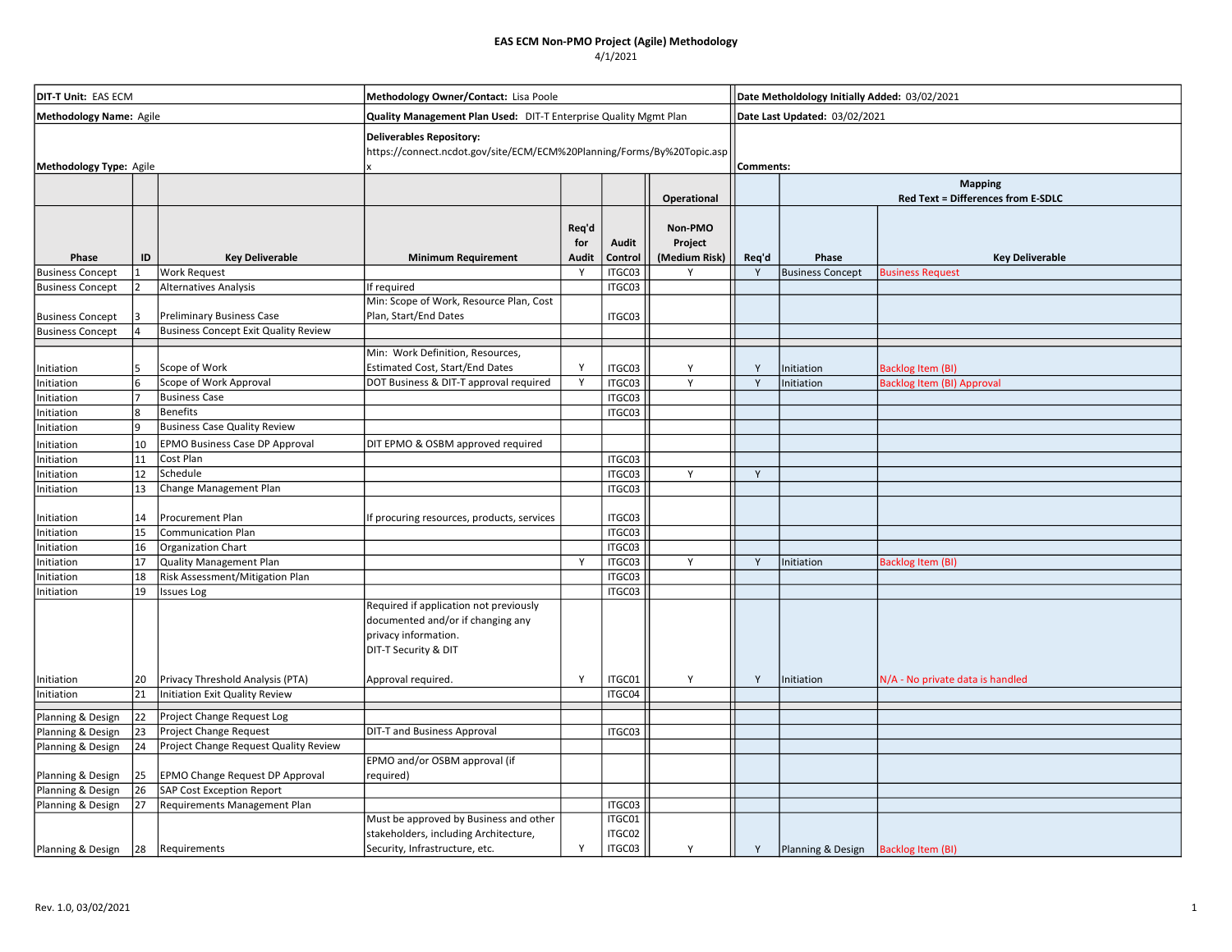| <b>DIT-T Unit: EAS ECM</b> |    |                                             | Methodology Owner/Contact: Lisa Poole                                                                                                             |                       |                  |                                     | Date Metholdology Initially Added: 03/02/2021 |                               |                                    |  |  |
|----------------------------|----|---------------------------------------------|---------------------------------------------------------------------------------------------------------------------------------------------------|-----------------------|------------------|-------------------------------------|-----------------------------------------------|-------------------------------|------------------------------------|--|--|
| Methodology Name: Agile    |    |                                             | Quality Management Plan Used: DIT-T Enterprise Quality Mgmt Plan                                                                                  |                       |                  |                                     |                                               | Date Last Updated: 03/02/2021 |                                    |  |  |
| Methodology Type: Agile    |    |                                             | <b>Deliverables Repository:</b><br>https://connect.ncdot.gov/site/ECM/ECM%20Planning/Forms/By%20Topic.asp                                         |                       |                  |                                     |                                               | Comments:                     |                                    |  |  |
|                            |    |                                             |                                                                                                                                                   |                       |                  |                                     |                                               | <b>Mapping</b>                |                                    |  |  |
|                            |    |                                             |                                                                                                                                                   |                       |                  | Operational                         |                                               |                               | Red Text = Differences from E-SDLC |  |  |
| Phase                      | ID | <b>Key Deliverable</b>                      | <b>Minimum Requirement</b>                                                                                                                        | Req'd<br>for<br>Audit | Audit<br>Control | Non-PMO<br>Project<br>(Medium Risk) | Req'd                                         | Phase                         | <b>Key Deliverable</b>             |  |  |
| <b>Business Concept</b>    |    | <b>Work Request</b>                         |                                                                                                                                                   | Y                     | ITGC03           | Υ                                   | Y                                             | <b>Business Concept</b>       | <b>Business Request</b>            |  |  |
| <b>Business Concept</b>    | 12 | Alternatives Analysis                       | If required                                                                                                                                       |                       | ITGC03           |                                     |                                               |                               |                                    |  |  |
|                            |    |                                             | Min: Scope of Work, Resource Plan, Cost                                                                                                           |                       |                  |                                     |                                               |                               |                                    |  |  |
| <b>Business Concept</b>    |    | <b>Preliminary Business Case</b>            | Plan, Start/End Dates                                                                                                                             |                       | ITGC03           |                                     |                                               |                               |                                    |  |  |
| <b>Business Concept</b>    |    | <b>Business Concept Exit Quality Review</b> |                                                                                                                                                   |                       |                  |                                     |                                               |                               |                                    |  |  |
|                            |    |                                             |                                                                                                                                                   |                       |                  |                                     |                                               |                               |                                    |  |  |
| Initiation                 | 5  | Scope of Work                               | Min: Work Definition, Resources,<br>Estimated Cost, Start/End Dates                                                                               | Y                     | ITGC03           | Y                                   | Y                                             | Initiation                    | <b>Backlog Item (BI)</b>           |  |  |
| Initiation                 | 6  | Scope of Work Approval                      | DOT Business & DIT-T approval required                                                                                                            | Y                     | ITGC03           | Y                                   |                                               | Initiation                    | <b>Backlog Item (BI) Approval</b>  |  |  |
| Initiation                 |    | <b>Business Case</b>                        |                                                                                                                                                   |                       | ITGC03           |                                     |                                               |                               |                                    |  |  |
| Initiation                 | l8 | <b>Benefits</b>                             |                                                                                                                                                   |                       | ITGC03           |                                     |                                               |                               |                                    |  |  |
| Initiation                 | و  | <b>Business Case Quality Review</b>         |                                                                                                                                                   |                       |                  |                                     |                                               |                               |                                    |  |  |
| Initiation                 | 10 | EPMO Business Case DP Approval              | DIT EPMO & OSBM approved required                                                                                                                 |                       |                  |                                     |                                               |                               |                                    |  |  |
| Initiation                 | 11 | Cost Plan                                   |                                                                                                                                                   |                       | ITGC03           |                                     |                                               |                               |                                    |  |  |
| Initiation                 | 12 | Schedule                                    |                                                                                                                                                   |                       | ITGC03           | Y                                   | Y                                             |                               |                                    |  |  |
| Initiation                 | 13 | Change Management Plan                      |                                                                                                                                                   |                       | ITGC03           |                                     |                                               |                               |                                    |  |  |
|                            |    |                                             |                                                                                                                                                   |                       |                  |                                     |                                               |                               |                                    |  |  |
| Initiation                 | 14 | Procurement Plan                            | If procuring resources, products, services                                                                                                        |                       | ITGC03           |                                     |                                               |                               |                                    |  |  |
| Initiation                 | 15 | Communication Plan                          |                                                                                                                                                   |                       | ITGC03           |                                     |                                               |                               |                                    |  |  |
| Initiation                 | 16 | Organization Chart                          |                                                                                                                                                   |                       | ITGC03           |                                     |                                               |                               |                                    |  |  |
| Initiation                 | 17 | <b>Quality Management Plan</b>              |                                                                                                                                                   | Y                     | ITGC03           | Y                                   | Y                                             | Initiation                    | <b>Backlog Item (BI</b>            |  |  |
| Initiation                 | 18 | Risk Assessment/Mitigation Plan             |                                                                                                                                                   |                       | ITGC03           |                                     |                                               |                               |                                    |  |  |
| Initiation                 | 19 | <b>Issues Log</b>                           |                                                                                                                                                   |                       | ITGC03           |                                     |                                               |                               |                                    |  |  |
| Initiation                 | 20 | Privacy Threshold Analysis (PTA)            | Required if application not previously<br>documented and/or if changing any<br>privacy information.<br>DIT-T Security & DIT<br>Approval required. | Y                     | ITGC01           | Υ                                   | Y                                             | Initiation                    | N/A - No private data is handled   |  |  |
| Initiation                 | 21 | Initiation Exit Quality Review              |                                                                                                                                                   |                       | ITGC04           |                                     |                                               |                               |                                    |  |  |
|                            |    |                                             |                                                                                                                                                   |                       |                  |                                     |                                               |                               |                                    |  |  |
| Planning & Design          | 22 | Project Change Request Log                  |                                                                                                                                                   |                       |                  |                                     |                                               |                               |                                    |  |  |
| Planning & Design          | 23 | Project Change Request                      | <b>DIT-T and Business Approval</b>                                                                                                                |                       | ITGC03           |                                     |                                               |                               |                                    |  |  |
| Planning & Design          | 24 | Project Change Request Quality Review       |                                                                                                                                                   |                       |                  |                                     |                                               |                               |                                    |  |  |
| Planning & Design          | 25 | <b>EPMO Change Request DP Approval</b>      | EPMO and/or OSBM approval (if<br>required)                                                                                                        |                       |                  |                                     |                                               |                               |                                    |  |  |
| Planning & Design          | 26 | SAP Cost Exception Report                   |                                                                                                                                                   |                       |                  |                                     |                                               |                               |                                    |  |  |
| Planning & Design          | 27 | Requirements Management Plan                |                                                                                                                                                   |                       | ITGC03           |                                     |                                               |                               |                                    |  |  |
|                            |    |                                             | Must be approved by Business and other                                                                                                            |                       | ITGC01           |                                     |                                               |                               |                                    |  |  |
|                            |    |                                             | stakeholders, including Architecture,                                                                                                             |                       | ITGC02           |                                     |                                               |                               |                                    |  |  |
| Planning & Design          | 28 | Requirements                                | Security, Infrastructure, etc.                                                                                                                    | Y                     | ITGC03           | Y                                   | Y                                             | Planning & Design             | <b>Backlog Item (BI)</b>           |  |  |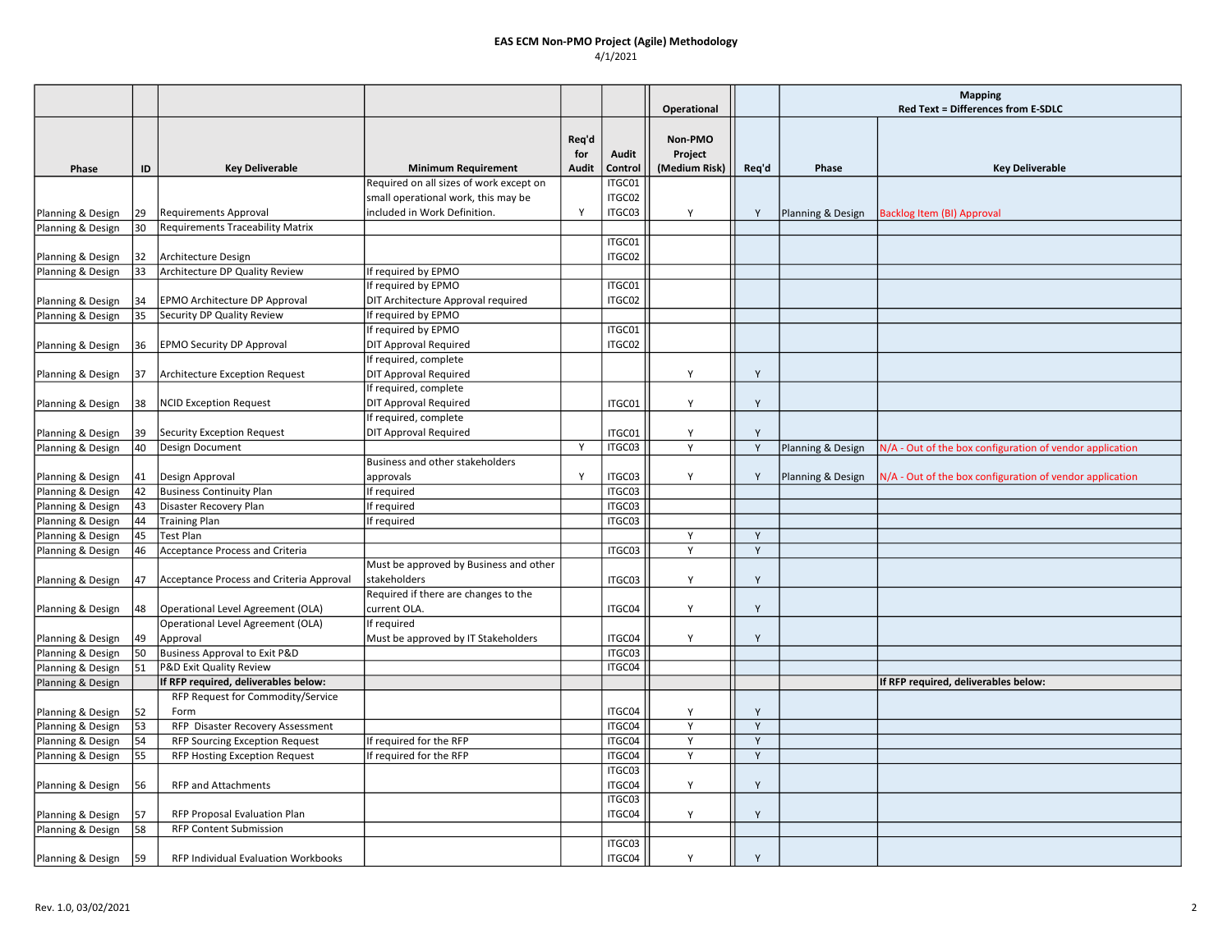|                   |    |                                          |                                         |                              |                  | Operational                         |       | <b>Mapping</b><br>Red Text = Differences from E-SDLC |                                                          |  |
|-------------------|----|------------------------------------------|-----------------------------------------|------------------------------|------------------|-------------------------------------|-------|------------------------------------------------------|----------------------------------------------------------|--|
| Phase             | ID | <b>Key Deliverable</b>                   | <b>Minimum Requirement</b>              | Req'd<br>for<br><b>Audit</b> | Audit<br>Control | Non-PMO<br>Project<br>(Medium Risk) | Req'd | Phase                                                | <b>Key Deliverable</b>                                   |  |
|                   |    |                                          | Required on all sizes of work except on |                              | ITGC01           |                                     |       |                                                      |                                                          |  |
|                   |    |                                          | small operational work, this may be     |                              | ITGC02           |                                     |       |                                                      |                                                          |  |
| Planning & Design | 29 | <b>Requirements Approval</b>             | included in Work Definition.            | v                            | ITGC03           | Υ                                   | Y     | Planning & Design                                    | <b>Backlog Item (BI) Approval</b>                        |  |
| Planning & Design | 30 | Requirements Traceability Matrix         |                                         |                              |                  |                                     |       |                                                      |                                                          |  |
|                   |    |                                          |                                         |                              | ITGC01           |                                     |       |                                                      |                                                          |  |
| Planning & Design | 32 | Architecture Design                      |                                         |                              | ITGC02           |                                     |       |                                                      |                                                          |  |
| Planning & Design | 33 | Architecture DP Quality Review           | If required by EPMO                     |                              |                  |                                     |       |                                                      |                                                          |  |
|                   |    |                                          | If required by EPMO                     |                              | ITGC01           |                                     |       |                                                      |                                                          |  |
| Planning & Design | 34 | EPMO Architecture DP Approval            | DIT Architecture Approval required      |                              | ITGC02           |                                     |       |                                                      |                                                          |  |
| Planning & Design | 35 | Security DP Quality Review               | If required by EPMO                     |                              |                  |                                     |       |                                                      |                                                          |  |
|                   |    |                                          | If required by EPMO                     |                              | ITGC01           |                                     |       |                                                      |                                                          |  |
| Planning & Design | 36 | EPMO Security DP Approval                | <b>DIT Approval Required</b>            |                              | ITGC02           |                                     |       |                                                      |                                                          |  |
|                   |    |                                          | If required, complete                   |                              |                  |                                     |       |                                                      |                                                          |  |
|                   | 37 | Architecture Exception Request           | <b>DIT Approval Required</b>            |                              |                  | Y                                   | Y     |                                                      |                                                          |  |
| Planning & Design |    |                                          | If required, complete                   |                              |                  |                                     |       |                                                      |                                                          |  |
|                   |    |                                          |                                         |                              |                  | Y                                   | Y     |                                                      |                                                          |  |
| Planning & Design | 38 | <b>NCID Exception Request</b>            | <b>DIT Approval Required</b>            |                              | ITGC01           |                                     |       |                                                      |                                                          |  |
|                   |    |                                          | If required, complete                   |                              |                  |                                     |       |                                                      |                                                          |  |
| Planning & Design | 39 | <b>Security Exception Request</b>        | <b>DIT Approval Required</b>            |                              | ITGC01           | Y                                   | Y     |                                                      |                                                          |  |
| Planning & Design | 40 | Design Document                          |                                         | Y                            | ITGC03           | Y                                   | Y     | Planning & Design                                    | N/A - Out of the box configuration of vendor application |  |
|                   |    |                                          | Business and other stakeholders         |                              |                  |                                     |       |                                                      |                                                          |  |
| Planning & Design | 41 | Design Approval                          | approvals                               | Y                            | ITGC03           | Y                                   | Y     | Planning & Design                                    | N/A - Out of the box configuration of vendor application |  |
| Planning & Design | 42 | <b>Business Continuity Plan</b>          | If required                             |                              | ITGC03           |                                     |       |                                                      |                                                          |  |
| Planning & Design | 43 | Disaster Recovery Plan                   | If required                             |                              | ITGC03           |                                     |       |                                                      |                                                          |  |
| Planning & Design | 44 | <b>Training Plan</b>                     | If required                             |                              | ITGC03           |                                     |       |                                                      |                                                          |  |
| Planning & Design | 45 | Test Plan                                |                                         |                              |                  | Y                                   | Y     |                                                      |                                                          |  |
| Planning & Design | 46 | Acceptance Process and Criteria          |                                         |                              | ITGC03           | Y                                   | Y     |                                                      |                                                          |  |
|                   |    |                                          | Must be approved by Business and other  |                              |                  |                                     |       |                                                      |                                                          |  |
| Planning & Design | 47 | Acceptance Process and Criteria Approval | <b>Istakeholders</b>                    |                              | ITGC03           | Y                                   | Y     |                                                      |                                                          |  |
|                   |    |                                          | Required if there are changes to the    |                              |                  |                                     |       |                                                      |                                                          |  |
| Planning & Design | 48 | Operational Level Agreement (OLA)        | current OLA.                            |                              | ITGC04           | Y                                   | Y     |                                                      |                                                          |  |
|                   |    | Operational Level Agreement (OLA)        | If required                             |                              |                  |                                     |       |                                                      |                                                          |  |
| Planning & Design | 49 | Approval                                 | Must be approved by IT Stakeholders     |                              | ITGC04           | Y                                   | Y     |                                                      |                                                          |  |
| Planning & Design | 50 | <b>Business Approval to Exit P&amp;D</b> |                                         |                              | ITGC03           |                                     |       |                                                      |                                                          |  |
| Planning & Design | 51 | P&D Exit Quality Review                  |                                         |                              | ITGC04           |                                     |       |                                                      |                                                          |  |
| Planning & Design |    | If RFP required, deliverables below:     |                                         |                              |                  |                                     |       |                                                      | If RFP required, deliverables below:                     |  |
|                   |    | RFP Request for Commodity/Service        |                                         |                              |                  |                                     |       |                                                      |                                                          |  |
| Planning & Design | 52 | Form                                     |                                         |                              | ITGC04           | Y                                   | Y     |                                                      |                                                          |  |
| Planning & Design | 53 | RFP Disaster Recovery Assessment         |                                         |                              | ITGC04           | Y                                   | Y     |                                                      |                                                          |  |
| Planning & Design | 54 | RFP Sourcing Exception Request           | If required for the RFP                 |                              | ITGC04           | Y                                   | Y     |                                                      |                                                          |  |
| Planning & Design | 55 | RFP Hosting Exception Request            | If required for the RFP                 |                              | ITGC04           | Y                                   | Y     |                                                      |                                                          |  |
|                   |    |                                          |                                         |                              | ITGC03           |                                     |       |                                                      |                                                          |  |
| Planning & Design | 56 | RFP and Attachments                      |                                         |                              | ITGC04           | Y                                   | Y     |                                                      |                                                          |  |
|                   |    |                                          |                                         |                              | ITGC03           |                                     |       |                                                      |                                                          |  |
| Planning & Design | 57 | RFP Proposal Evaluation Plan             |                                         |                              | ITGC04           | Y                                   | Y     |                                                      |                                                          |  |
| Planning & Design | 58 | RFP Content Submission                   |                                         |                              |                  |                                     |       |                                                      |                                                          |  |
|                   |    |                                          |                                         |                              | ITGC03           |                                     |       |                                                      |                                                          |  |
| Planning & Design | 59 | RFP Individual Evaluation Workbooks      |                                         |                              | ITGC04           | Υ                                   | Y     |                                                      |                                                          |  |
|                   |    |                                          |                                         |                              |                  |                                     |       |                                                      |                                                          |  |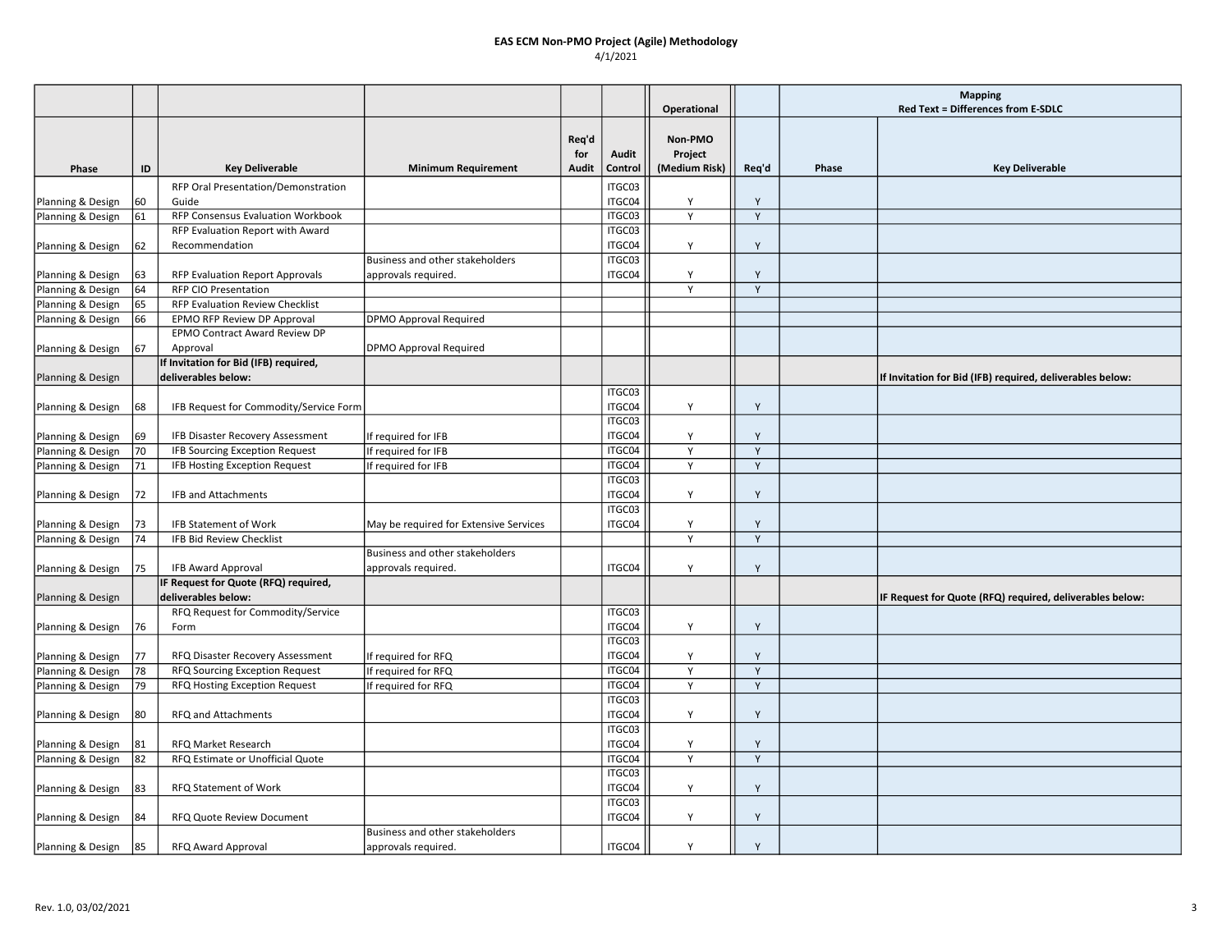|                   |    |                                        |                                        |              |         |                    |             | <b>Mapping</b> |                                                           |  |
|-------------------|----|----------------------------------------|----------------------------------------|--------------|---------|--------------------|-------------|----------------|-----------------------------------------------------------|--|
|                   |    |                                        |                                        |              |         | Operational        |             |                | <b>Red Text = Differences from E-SDLC</b>                 |  |
|                   |    |                                        |                                        | Req'd<br>for | Audit   | Non-PMO<br>Project |             |                |                                                           |  |
| Phase             | ID | <b>Key Deliverable</b>                 | <b>Minimum Requirement</b>             | Audit        | Control | (Medium Risk)      | Req'd       | Phase          | <b>Key Deliverable</b>                                    |  |
|                   |    | RFP Oral Presentation/Demonstration    |                                        |              | ITGC03  |                    |             |                |                                                           |  |
| Planning & Design | 60 | Guide                                  |                                        |              | ITGC04  | Y                  | Y           |                |                                                           |  |
| Planning & Design | 61 | RFP Consensus Evaluation Workbook      |                                        |              | ITGC03  | Y                  | Y           |                |                                                           |  |
|                   |    | RFP Evaluation Report with Award       |                                        |              | ITGC03  |                    |             |                |                                                           |  |
| Planning & Design | 62 | Recommendation                         |                                        |              | ITGC04  | Υ                  | Y           |                |                                                           |  |
|                   |    |                                        | Business and other stakeholders        |              | ITGC03  |                    |             |                |                                                           |  |
| Planning & Design | 63 | RFP Evaluation Report Approvals        | approvals required.                    |              | ITGC04  | Y                  | Y           |                |                                                           |  |
| Planning & Design | 64 | <b>RFP CIO Presentation</b>            |                                        |              |         | Y                  | Y           |                |                                                           |  |
| Planning & Design | 65 | RFP Evaluation Review Checklist        |                                        |              |         |                    |             |                |                                                           |  |
| Planning & Design | 66 | EPMO RFP Review DP Approval            | <b>DPMO Approval Required</b>          |              |         |                    |             |                |                                                           |  |
|                   |    | EPMO Contract Award Review DP          |                                        |              |         |                    |             |                |                                                           |  |
| Planning & Design | 67 | Approval                               | DPMO Approval Required                 |              |         |                    |             |                |                                                           |  |
|                   |    | If Invitation for Bid (IFB) required,  |                                        |              |         |                    |             |                |                                                           |  |
| Planning & Design |    | deliverables below:                    |                                        |              |         |                    |             |                | If Invitation for Bid (IFB) required, deliverables below: |  |
|                   |    |                                        |                                        |              | ITGC03  |                    |             |                |                                                           |  |
| Planning & Design | 68 | IFB Request for Commodity/Service Form |                                        |              | ITGC04  | Y                  | Y           |                |                                                           |  |
|                   |    |                                        |                                        |              | ITGC03  |                    |             |                |                                                           |  |
| Planning & Design | 69 | IFB Disaster Recovery Assessment       | If required for IFB                    |              | ITGC04  | Y                  | Y           |                |                                                           |  |
| Planning & Design | 70 | <b>IFB Sourcing Exception Request</b>  | If required for IFB                    |              | ITGC04  | Y                  | $\mathsf Y$ |                |                                                           |  |
| Planning & Design | 71 | IFB Hosting Exception Request          | If required for IFB                    |              | ITGC04  | Y                  | Y           |                |                                                           |  |
|                   |    |                                        |                                        |              | ITGC03  |                    |             |                |                                                           |  |
| Planning & Design | 72 | IFB and Attachments                    |                                        |              | ITGC04  | Y                  | Y           |                |                                                           |  |
|                   |    |                                        |                                        |              | ITGC03  |                    |             |                |                                                           |  |
| Planning & Design | 73 | <b>IFB Statement of Work</b>           | May be required for Extensive Services |              | ITGC04  | Y                  | Y           |                |                                                           |  |
| Planning & Design | 74 | IFB Bid Review Checklist               |                                        |              |         | Y                  | Y           |                |                                                           |  |
|                   |    |                                        | Business and other stakeholders        |              |         |                    |             |                |                                                           |  |
| Planning & Design | 75 | <b>IFB Award Approval</b>              | approvals required.                    |              | ITGC04  | Y                  | Y           |                |                                                           |  |
|                   |    | IF Request for Quote (RFQ) required,   |                                        |              |         |                    |             |                |                                                           |  |
| Planning & Design |    | deliverables below:                    |                                        |              |         |                    |             |                | IF Request for Quote (RFQ) required, deliverables below:  |  |
|                   |    | RFQ Request for Commodity/Service      |                                        |              | ITGC03  |                    |             |                |                                                           |  |
| Planning & Design | 76 | Form                                   |                                        |              | ITGC04  | Y                  | Y           |                |                                                           |  |
|                   |    |                                        |                                        |              | ITGC03  |                    |             |                |                                                           |  |
| Planning & Design | 77 | RFQ Disaster Recovery Assessment       | If required for RFQ                    |              | ITGC04  | Υ                  | Υ           |                |                                                           |  |
| Planning & Design | 78 | RFQ Sourcing Exception Request         | If required for RFQ                    |              | ITGC04  | Y                  | Y           |                |                                                           |  |
| Planning & Design | 79 | RFQ Hosting Exception Request          | If required for RFQ                    |              | ITGC04  | Y                  | Y           |                |                                                           |  |
|                   |    |                                        |                                        |              | ITGC03  |                    |             |                |                                                           |  |
| Planning & Design | 80 | RFQ and Attachments                    |                                        |              | ITGC04  | Y                  | Y           |                |                                                           |  |
|                   |    |                                        |                                        |              | ITGC03  |                    |             |                |                                                           |  |
| Planning & Design | 81 | RFQ Market Research                    |                                        |              | ITGC04  | Y                  | Y           |                |                                                           |  |
| Planning & Design | 82 | RFQ Estimate or Unofficial Quote       |                                        |              | ITGC04  | Y                  | Y           |                |                                                           |  |
|                   |    |                                        |                                        |              | ITGC03  |                    |             |                |                                                           |  |
| Planning & Design | 83 | RFQ Statement of Work                  |                                        |              | ITGC04  | Υ                  | Y           |                |                                                           |  |
|                   |    |                                        |                                        |              | ITGC03  |                    |             |                |                                                           |  |
| Planning & Design | 84 | RFQ Quote Review Document              |                                        |              | ITGC04  | Y                  | Y           |                |                                                           |  |
|                   |    |                                        | Business and other stakeholders        |              |         |                    |             |                |                                                           |  |
| Planning & Design | 85 | RFQ Award Approval                     | approvals required.                    |              | ITGC04  | Y                  | Y           |                |                                                           |  |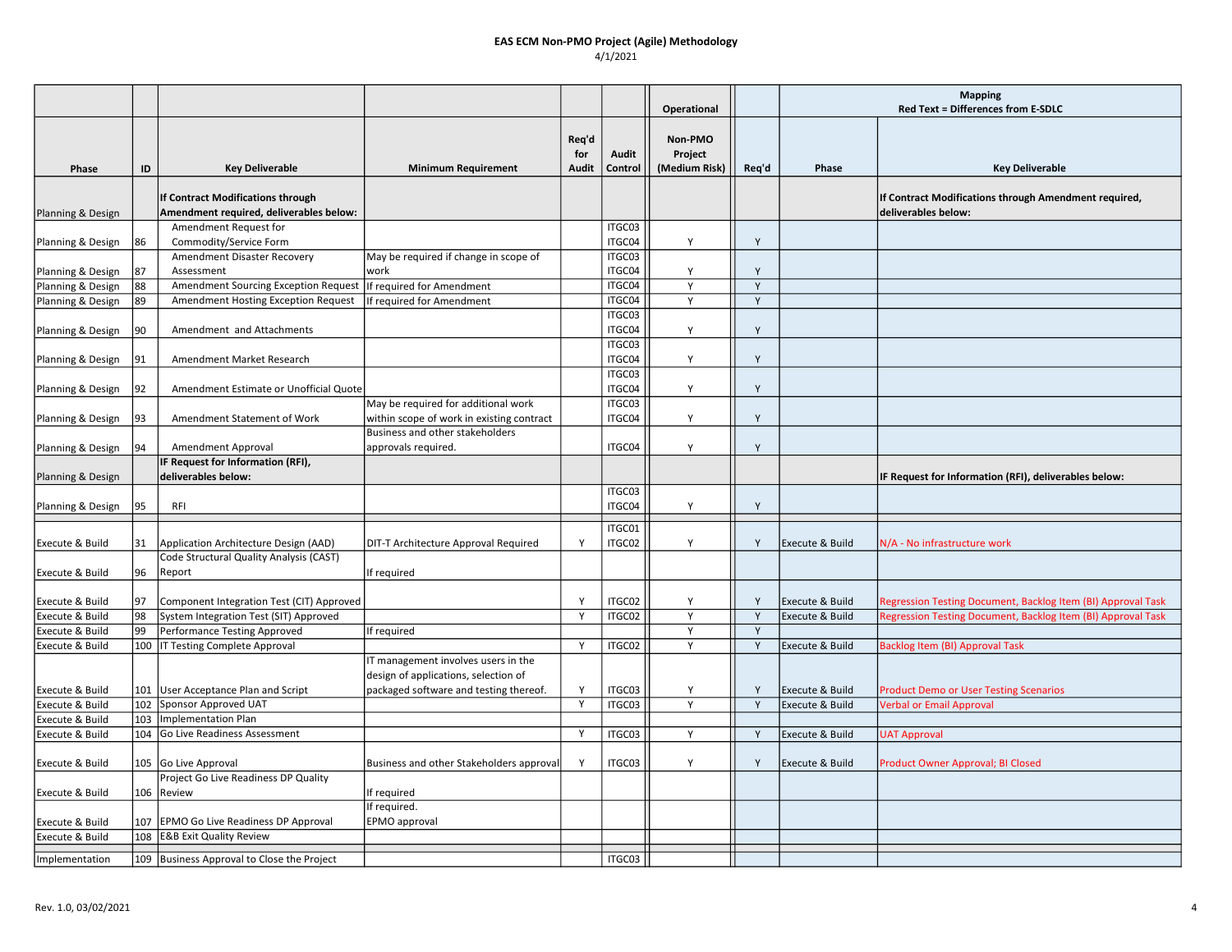|                            |     |                                                                              |                                                                             |                              |                  | Operational                         |       | <b>Mapping</b><br>Red Text = Differences from E-SDLC |                                                                              |  |
|----------------------------|-----|------------------------------------------------------------------------------|-----------------------------------------------------------------------------|------------------------------|------------------|-------------------------------------|-------|------------------------------------------------------|------------------------------------------------------------------------------|--|
| Phase                      | ID  | <b>Key Deliverable</b>                                                       | <b>Minimum Requirement</b>                                                  | Req'd<br>for<br><b>Audit</b> | Audit<br>Control | Non-PMO<br>Project<br>(Medium Risk) | Req'd | Phase                                                | <b>Key Deliverable</b>                                                       |  |
| Planning & Design          |     | If Contract Modifications through<br>Amendment required, deliverables below: |                                                                             |                              |                  |                                     |       |                                                      | If Contract Modifications through Amendment required,<br>deliverables below: |  |
| Planning & Design          | 86  | Amendment Request for<br>Commodity/Service Form                              |                                                                             |                              | ITGC03<br>ITGC04 | Y                                   | Y     |                                                      |                                                                              |  |
| Planning & Design          | 87  | Amendment Disaster Recovery<br>Assessment                                    | May be required if change in scope of<br>work                               |                              | ITGC03<br>ITGC04 | Y                                   | Y     |                                                      |                                                                              |  |
| Planning & Design          | 88  | Amendment Sourcing Exception Request                                         | If required for Amendment                                                   |                              | ITGC04           | Y                                   | Y     |                                                      |                                                                              |  |
| Planning & Design          | 89  | Amendment Hosting Exception Request                                          | If required for Amendment                                                   |                              | ITGC04           | Y                                   | Y     |                                                      |                                                                              |  |
|                            |     |                                                                              |                                                                             |                              | ITGC03           |                                     |       |                                                      |                                                                              |  |
| Planning & Design          | 90  | Amendment and Attachments                                                    |                                                                             |                              | ITGC04           | Y                                   | Y     |                                                      |                                                                              |  |
| Planning & Design          | 91  | Amendment Market Research                                                    |                                                                             |                              | ITGC03<br>ITGC04 | Y                                   | Y     |                                                      |                                                                              |  |
| Planning & Design          | 92  | Amendment Estimate or Unofficial Quote                                       |                                                                             |                              | ITGC03<br>ITGC04 | Y                                   | Y     |                                                      |                                                                              |  |
|                            |     |                                                                              | May be required for additional work                                         |                              | ITGC03           |                                     |       |                                                      |                                                                              |  |
| Planning & Design          | 93  | Amendment Statement of Work                                                  | within scope of work in existing contract                                   |                              | ITGC04           | Y                                   | Y     |                                                      |                                                                              |  |
|                            |     |                                                                              | Business and other stakeholders                                             |                              |                  |                                     |       |                                                      |                                                                              |  |
| Planning & Design          | 94  | Amendment Approval                                                           | approvals required.                                                         |                              | ITGC04           | Y                                   | Y     |                                                      |                                                                              |  |
|                            |     | IF Request for Information (RFI),                                            |                                                                             |                              |                  |                                     |       |                                                      |                                                                              |  |
| Planning & Design          |     | deliverables below:                                                          |                                                                             |                              |                  |                                     |       |                                                      | IF Request for Information (RFI), deliverables below:                        |  |
| Planning & Design          | 95  | RFI                                                                          |                                                                             |                              | ITGC03<br>ITGC04 | Y                                   | Y     |                                                      |                                                                              |  |
|                            |     |                                                                              |                                                                             |                              | ITGC01           |                                     |       |                                                      |                                                                              |  |
| Execute & Build            | 31  | Application Architecture Design (AAD)                                        | DIT-T Architecture Approval Required                                        | Y                            | ITGC02           | Y                                   | Y     | Execute & Build                                      | N/A - No infrastructure work                                                 |  |
| Execute & Build            | 96  | Code Structural Quality Analysis (CAST)<br>Report                            | If required                                                                 |                              |                  |                                     |       |                                                      |                                                                              |  |
| Execute & Build            | 97  | Component Integration Test (CIT) Approved                                    |                                                                             | <b>V</b>                     | ITGC02           | Y                                   | Y     | Execute & Build                                      | Regression Testing Document, Backlog Item (BI) Approval Task                 |  |
| Execute & Build            | 98  | System Integration Test (SIT) Approved                                       |                                                                             | Y                            | ITGC02           | Y                                   | Y     | Execute & Build                                      | Regression Testing Document, Backlog Item (BI) Approval Task                 |  |
| Execute & Build            | 99  | Performance Testing Approved                                                 | If required                                                                 |                              |                  | Y                                   | Y     |                                                      |                                                                              |  |
| Execute & Build            |     | 100   IT Testing Complete Approval                                           |                                                                             | Y                            | ITGC02           | Y                                   | Y     | Execute & Build                                      | <b>Backlog Item (BI) Approval Task</b>                                       |  |
|                            |     |                                                                              | IT management involves users in the<br>design of applications, selection of |                              |                  |                                     |       |                                                      |                                                                              |  |
| <b>Execute &amp; Build</b> |     | 101 User Acceptance Plan and Script                                          | packaged software and testing thereof.                                      | Y                            | ITGC03           | Y                                   | Y     | Execute & Build                                      | <b>Product Demo or User Testing Scenarios</b>                                |  |
| Execute & Build            | 102 | Sponsor Approved UAT                                                         |                                                                             | Y                            | ITGC03           | Y                                   | Y     | Execute & Build                                      | <b>Verbal or Email Approval</b>                                              |  |
| Execute & Build            | 103 | Implementation Plan                                                          |                                                                             |                              |                  |                                     |       |                                                      |                                                                              |  |
| Execute & Build            |     | 104 Go Live Readiness Assessment                                             |                                                                             | Y                            | ITGC03           | Y                                   | Y     | Execute & Build                                      | <b>UAT Approval</b>                                                          |  |
| Execute & Build            |     | 105 Go Live Approval                                                         | Business and other Stakeholders approval                                    | Y                            | ITGC03           | Y                                   | Y     | Execute & Build                                      | Product Owner Approval; BI Closed                                            |  |
|                            |     | Project Go Live Readiness DP Quality                                         |                                                                             |                              |                  |                                     |       |                                                      |                                                                              |  |
| Execute & Build            |     | 106 Review                                                                   | If required                                                                 |                              |                  |                                     |       |                                                      |                                                                              |  |
|                            |     |                                                                              | If required.                                                                |                              |                  |                                     |       |                                                      |                                                                              |  |
| Execute & Build            | 107 | <b>EPMO Go Live Readiness DP Approval</b>                                    | EPMO approval                                                               |                              |                  |                                     |       |                                                      |                                                                              |  |
| Execute & Build            | 108 | <b>E&amp;B Exit Quality Review</b>                                           |                                                                             |                              |                  |                                     |       |                                                      |                                                                              |  |
| Implementation             |     | 109 Business Approval to Close the Project                                   |                                                                             |                              | ITGC03           |                                     |       |                                                      |                                                                              |  |
|                            |     |                                                                              |                                                                             |                              |                  |                                     |       |                                                      |                                                                              |  |